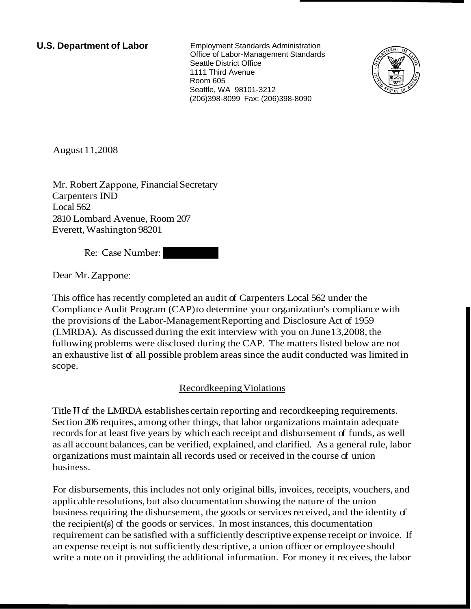**U.S. Department of Labor** Employment Standards Administration Office of Labor-Management Standards Seattle District Office 1111 Third Avenue Room 605 Seattle, WA 98101-3212 (206)398-8099 Fax: (206)398-8090



August 11,2008

Mr. Robert Zappone, Financial Secretary Carpenters IND Local 562 2810 Lombard Avenue, Room 207 Everett, Washington 98201

Re: Case Number:

Dear Mr. Zappone:

This office has recently completed an audit of Carpenters Local 562 under the Compliance Audit Program (CAP) to determine your organization's compliance with the provisions of the Labor-Management Reporting and Disclosure Act of 1959 (LMRDA). As discussed during the exit interview with you on June 13,2008, the following problems were disclosed during the CAP. The matters listed below are not an exhaustive list of all possible problem areas since the audit conducted was limited in scope.

## Recordkeeping Violations

Title I1 of the LMRDA establishes certain reporting and recordkeeping requirements. Section 206 requires, among other things, that labor organizations maintain adequate records for at least five years by which each receipt and disbursement of funds, as well as all account balances, can be verified, explained, and clarified. As a general rule, labor organizations must maintain all records used or received in the course of union business.

For disbursements, this includes not only original bills, invoices, receipts, vouchers, and applicable resolutions, but also documentation showing the nature of the union business requiring the disbursement, the goods or services received, and the identity of the recipient(s) of the goods or services. In most instances, this documentation requirement can be satisfied with a sufficiently descriptive expense receipt or invoice. If an expense receipt is not sufficiently descriptive, a union officer or employee should write a note on it providing the additional information. For money it receives, the labor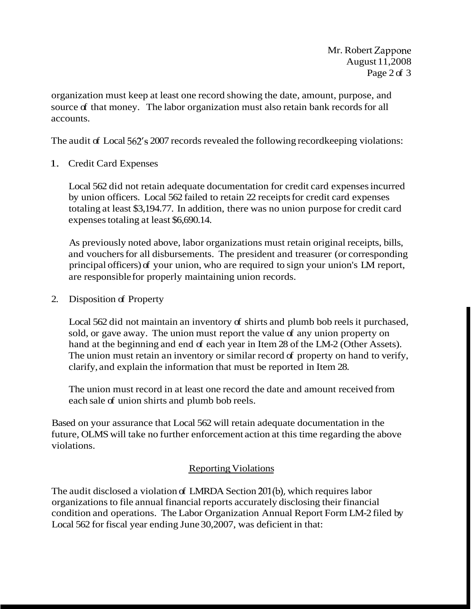organization must keep at least one record showing the date, amount, purpose, and source of that money. The labor organization must also retain bank records for all accounts.

The audit of Local 562's 2007 records revealed the following recordkeeping violations:

1. Credit Card Expenses

Local 562 did not retain adequate documentation for credit card expenses incurred by union officers. Local 562 failed to retain 22 receipts for credit card expenses totaling at least \$3,194.77. In addition, there was no union purpose for credit card expenses totaling at least \$6,690.14.

As previously noted above, labor organizations must retain original receipts, bills, and vouchers for all disbursements. The president and treasurer (or corresponding principal officers) of your union, who are required to sign your union's LM report, are responsible for properly maintaining union records.

2. Disposition of Property

Local 562 did not maintain an inventory of shirts and plumb bob reels it purchased, sold, or gave away. The union must report the value of any union property on hand at the beginning and end of each year in Item 28 of the LM-2 (Other Assets). The union must retain an inventory or similar record of property on hand to verify, clarify, and explain the information that must be reported in Item 28.

The union must record in at least one record the date and amount received from each sale of union shirts and plumb bob reels.

Based on your assurance that Local 562 will retain adequate documentation in the future, OLMS will take no further enforcement action at this time regarding the above violations.

## **Reporting Violations**

The audit disclosed a violation of LMRDA Section 201(b), which requires labor organizations to file annual financial reports accurately disclosing their financial condition and operations. The Labor Organization Annual Report Form LM-2 filed by Local 562 for fiscal year ending June 30,2007, was deficient in that: